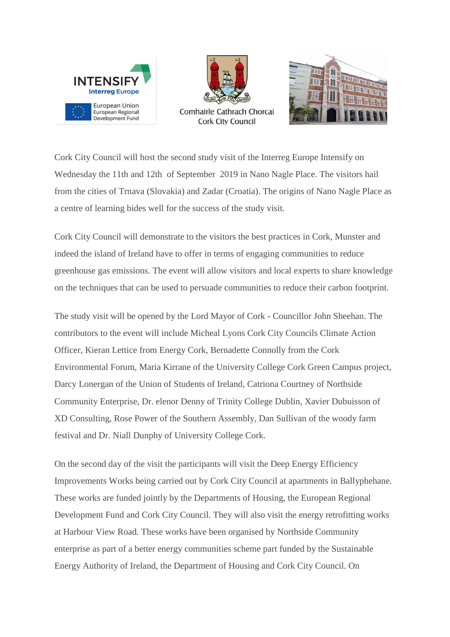



**Cork City Council** 



Cork City Council will host the second study visit of the Interreg Europe Intensify on Wednesday the 11th and 12th of September 2019 in Nano Nagle Place. The visitors hail from the cities of Trnava (Slovakia) and Zadar (Croatia). The origins of Nano Nagle Place as a centre of learning bides well for the success of the study visit.

Cork City Council will demonstrate to the visitors the best practices in Cork, Munster and indeed the island of Ireland have to offer in terms of engaging communities to reduce greenhouse gas emissions. The event will allow visitors and local experts to share knowledge on the techniques that can be used to persuade communities to reduce their carbon footprint.

The study visit will be opened by the Lord Mayor of Cork - Councillor John Sheehan. The contributors to the event will include Micheal Lyons Cork City Councils Climate Action Officer, Kieran Lettice from Energy Cork, Bernadette Connolly from the Cork Environmental Forum, Maria Kirrane of the University College Cork Green Campus project, Darcy Lonergan of the Union of Students of Ireland, Catriona Courtney of Northside Community Enterprise, Dr. elenor Denny of Trinity College Dublin, Xavier Dubuisson of XD Consulting, Rose Power of the Southern Assembly, Dan Sullivan of the woody farm festival and Dr. Niall Dunphy of University College Cork.

On the second day of the visit the participants will visit the Deep Energy Efficiency Improvements Works being carried out by Cork City Council at apartments in Ballyphehane. These works are funded jointly by the Departments of Housing, the European Regional Development Fund and Cork City Council. They will also visit the energy retrofitting works at Harbour View Road. These works have been organised by Northside Community enterprise as part of a better energy communities scheme part funded by the Sustainable Energy Authority of Ireland, the Department of Housing and Cork City Council. On